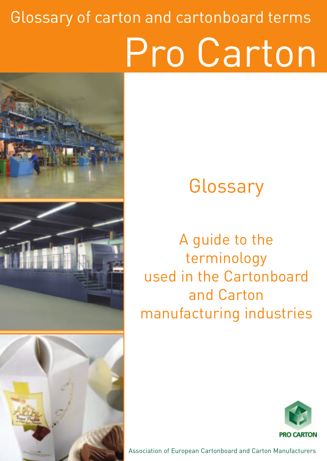### Glossary of carton and cartonboard terms Pro Carton

# There



#### **Glossary**

A guide to the terminology used in the Cartonboard and Carton manufacturing industries



Association of European Cartonboard and Carton Manufacturers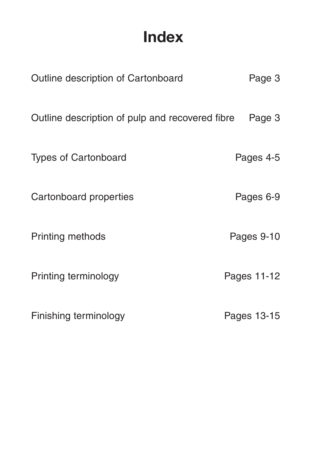#### **Index**

| Outline description of Cartonboard              | Page 3      |
|-------------------------------------------------|-------------|
| Outline description of pulp and recovered fibre | Page 3      |
| <b>Types of Cartonboard</b>                     | Pages 4-5   |
| Cartonboard properties                          | Pages 6-9   |
| Printing methods                                | Pages 9-10  |
| Printing terminology                            | Pages 11-12 |
| Finishing terminology                           | Pages 13-15 |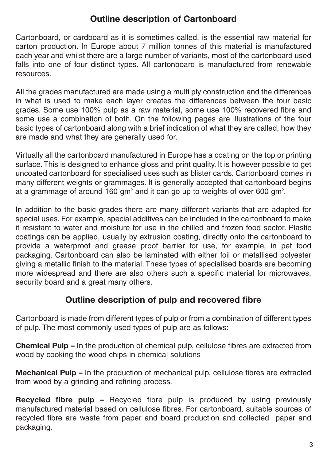#### **Outline description of Cartonboard**

Cartonboard, or cardboard as it is sometimes called, is the essential raw material for carton production. In Europe about 7 million tonnes of this material is manufactured each year and whilst there are a large number of variants, most of the cartonboard used falls into one of four distinct types. All cartonboard is manufactured from renewable resources.

All the grades manufactured are made using a multi ply construction and the differences in what is used to make each layer creates the differences between the four basic grades. Some use 100% pulp as a raw material, some use 100% recovered fibre and some use a combination of both. On the following pages are illustrations of the four basic types of cartonboard along with a brief indication of what they are called, how they are made and what they are generally used for.

Virtually all the cartonboard manufactured in Europe has a coating on the top or printing surface. This is designed to enhance gloss and print quality. It is however possible to get uncoated cartonboard for specialised uses such as blister cards. Cartonboard comes in many different weights or grammages. It is generally accepted that cartonboard begins at a grammage of around 160 gm<sup>2</sup> and it can go up to weights of over 600 gm<sup>2</sup>.

In addition to the basic grades there are many different variants that are adapted for special uses. For example, special additives can be included in the cartonboard to make it resistant to water and moisture for use in the chilled and frozen food sector. Plastic coatings can be applied, usually by extrusion coating, directly onto the cartonboard to provide a waterproof and grease proof barrier for use, for example, in pet food packaging. Cartonboard can also be laminated with either foil or metallised polyester giving a metallic finish to the material. These types of specialised boards are becoming more widespread and there are also others such a specific material for microwaves, security board and a great many others.

#### **Outline description of pulp and recovered fibre**

Cartonboard is made from different types of pulp or from a combination of different types of pulp. The most commonly used types of pulp are as follows:

**Chemical Pulp –** In the production of chemical pulp, cellulose fibres are extracted from wood by cooking the wood chips in chemical solutions

**Mechanical Pulp –** In the production of mechanical pulp, cellulose fibres are extracted from wood by a grinding and refining process.

**Recycled fibre pulp –** Recycled fibre pulp is produced by using previously manufactured material based on cellulose fibres. For cartonboard, suitable sources of recycled fibre are waste from paper and board production and collected paper and packaging.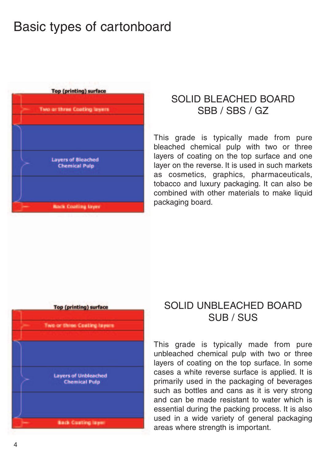#### Basic types of cartonboard



#### SOLID BLEACHED BOARD SBB / SBS / GZ

This grade is typically made from pure bleached chemical pulp with two or three layers of coating on the top surface and one layer on the reverse. It is used in such markets as cosmetics, graphics, pharmaceuticals, tobacco and luxury packaging. It can also be combined with other materials to make liquid packaging board.



#### SOLID UNBLEACHED BOARD SUB / SUS

This grade is typically made from pure unbleached chemical pulp with two or three layers of coating on the top surface. In some cases a white reverse surface is applied. It is primarily used in the packaging of beverages such as bottles and cans as it is very strong and can be made resistant to water which is essential during the packing process. It is also used in a wide variety of general packaging areas where strength is important.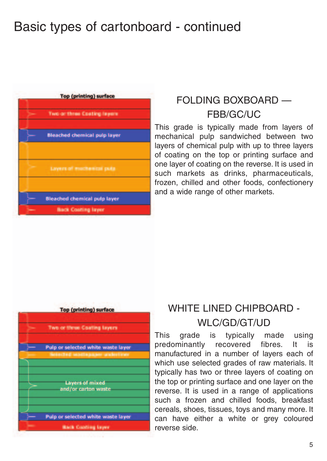#### Basic types of cartonboard - continued



#### FOLDING BOXBOARD — FBB/GC/UC

This grade is typically made from layers of mechanical pulp sandwiched between two layers of chemical pulp with up to three layers of coating on the top or printing surface and one layer of coating on the reverse. It is used in such markets as drinks, pharmaceuticals, frozen, chilled and other foods, confectionery and a wide range of other markets.



#### WHITE LINED CHIPBOARD - WLC/GD/GT/UD

This grade is typically made using predominantly recovered fibres. It is manufactured in a number of layers each of which use selected grades of raw materials. It typically has two or three layers of coating on the top or printing surface and one layer on the reverse. It is used in a range of applications such a frozen and chilled foods, breakfast cereals, shoes, tissues, toys and many more. It can have either a white or grey coloured reverse side.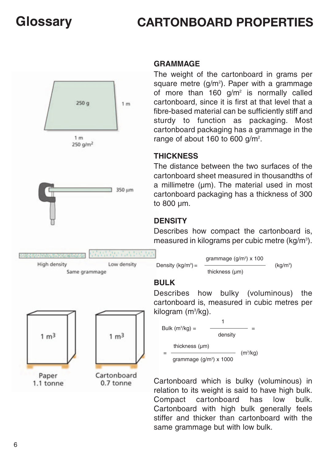#### **CARTONBOARD PROPERTIES**



#### **GRAMMAGE**

The weight of the cartonboard in grams per square metre (g/m<sup>2</sup>). Paper with a grammage of more than  $160 \text{ q/m}^2$  is normally called cartonboard, since it is first at that level that a fibre-based material can be sufficiently stiff and sturdy to function as packaging. Most cartonboard packaging has a grammage in the range of about 160 to 600 g/m<sup>2</sup>.

#### **THICKNESS**

The distance between the two surfaces of the cartonboard sheet measured in thousandths of a millimetre (um). The material used in most cartonboard packaging has a thickness of 300 to 800 µm.

#### **DENSITY**

Describes how compact the cartonboard is, measured in kilograms per cubic metre (kg/m<sup>3</sup>).



Cartonboard

0.7 tonne

thickness (µm) = (m3 /kg) grammage (g/m<sup>3</sup>) x 1000

Cartonboard which is bulky (voluminous) in relation to its weight is said to have high bulk. Compact cartonboard has low bulk. Cartonboard with high bulk generally feels stiffer and thicker than cartonboard with the same grammage but with low bulk.

Paper 1.1 tonne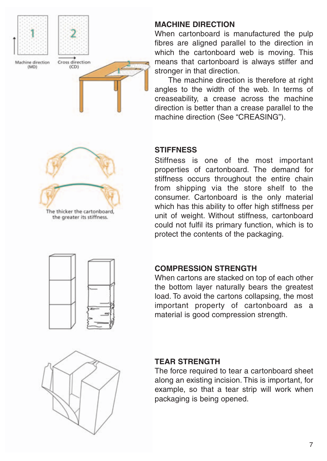

#### **MACHINE DIRECTION**

When cartonboard is manufactured the pulp fibres are aligned parallel to the direction in which the cartonboard web is moving. This means that cartonboard is always stiffer and stronger in that direction.

The machine direction is therefore at right angles to the width of the web. In terms of creaseability, a crease across the machine direction is better than a crease parallel to the machine direction (See "CREASING").

## The thicker the cartonboard.

the greater its stiffness.

#### **STIFFNESS**

Stiffness is one of the most important properties of cartonboard. The demand for stiffness occurs throughout the entire chain from shipping via the store shelf to the consumer. Cartonboard is the only material which has this ability to offer high stiffness per unit of weight. Without stiffness, cartonboard could not fulfil its primary function, which is to protect the contents of the packaging.



#### **COMPRESSION STRENGTH**

When cartons are stacked on top of each other the bottom layer naturally bears the greatest load. To avoid the cartons collapsing, the most important property of cartonboard as a material is good compression strength.



#### **TEAR STRENGTH**

The force required to tear a cartonboard sheet along an existing incision. This is important, for example, so that a tear strip will work when packaging is being opened.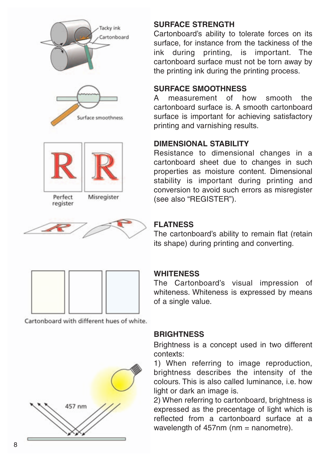



#### **SURFACE STRENGTH**

Cartonboard's ability to tolerate forces on its surface, for instance from the tackiness of the ink during printing, is important. The cartonboard surface must not be torn away by the printing ink during the printing process.

#### **SURFACE SMOOTHNESS**

A measurement of how smooth the cartonboard surface is. A smooth cartonboard surface is important for achieving satisfactory printing and varnishing results.

#### **DIMENSIONAL STABILITY**

Resistance to dimensional changes in a cartonboard sheet due to changes in such properties as moisture content. Dimensional stability is important during printing and conversion to avoid such errors as misregister (see also "REGISTER").

#### **FLATNESS**

The cartonboard's ability to remain flat (retain its shape) during printing and converting.

#### **WHITENESS**

The Cartonboard' s visual impression of whiteness . Whiteness is expressed by means of a single value .

#### **BRIGHTNESS**

Brightness is a concept used in tw o different contexts:

1) When referring to image reproduction, brightness describes the intensity of the colours . This is also called luminance , i.e . ho w light or dark an image is.

2) When referring to cartonboard, brightness is expressed as the precentage of light which is reflected from a cartonboard surface at a wavelength of 457nm (nm = nanometre).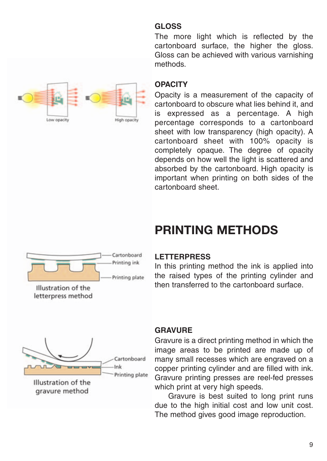#### **GLOSS**

The more light which is reflected by the cartonboard surface, the higher the gloss. Gloss can be achieved with various varnishing methods.



#### **OPACITY**

Opacity is a measurement of the capacity of cartonboard to obscure what lies behind it, and is expressed as a percentage. A high percentage corresponds to a cartonboard sheet with low transparency (high opacity). A cartonboard sheet with 100% opacity is completely opaque. The degree of opacity depends on how well the light is scattered and absorbed by the cartonboard. High opacity is important when printing on both sides of the cartonboard sheet.



#### **PRINTING METHODS**

#### **LETTERPRESS**

In this printing method the ink is applied into the raised types of the printing cylinder and then transferred to the cartonboard surface.



gravure method

#### **GRAVURE**

Gravure is a direct printing method in which the image areas to be printed are made up of many small recesses which are engraved on a copper printing cylinder and are filled with ink. Gravure printing presses are reel-fed presses which print at very high speeds.

Gravure is best suited to long print runs due to the high initial cost and low unit cost. The method gives good image reproduction.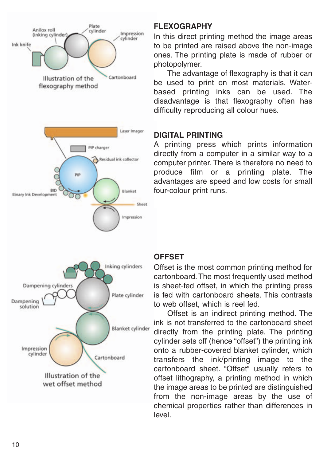

wet offset method

#### **FLEXOGRAPHY**

In this direct printing method the image areas to be printed are raised above the non-image ones. The printing plate is made of rubber or photopolymer.

The advantage of flexography is that it can be used to print on most materials. Waterbased printing inks can be used. The disadvantage is that flexography often has difficulty reproducing all colour hues.

#### **DIGITAL PRINTING**

A printing press which prints information directly from a computer in a similar way to a computer printer. There is therefore no need to produce film or a printing plate. The advantages are speed and lo w costs for small four-colour print runs.

#### **OFFSET**

Offset is the most common printing method for cartonboard. The most frequently used method is sheet-fed offset, in which the printing press is fed with cartonboard sheets. This contrasts to web offset, which is reel fed.

Offset is an indirect printing method. The ink is not transferred to the cartonboard sheet directly from the printing plate . The printing cylinder sets off (hence "offset") the printing ink onto a rubber-covered blanket cylinder, which transfers the ink/printing image to the cartonboard sheet. "Offset" usually refers to offset lithography, a printing method in which the image areas to be printed are distinguished from the non-image areas b y the use of chemical properties rather than differences in level.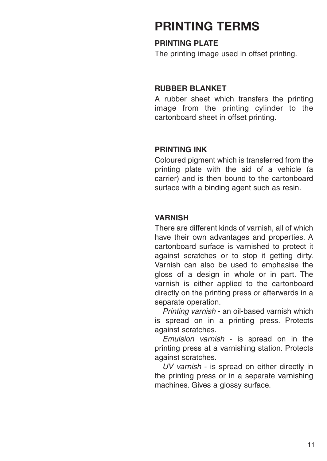#### **PRINTING TERMS**

#### **PRINTING PLATE**

The printing image used in offset printing.

#### **RUBBER BLANKET**

A rubber sheet which transfers the printing image from the printing cylinder to the cartonboard sheet in offset printing.

#### **PRINTING INK**

Coloured pigment which is transferred from the printing plate with the aid of a vehicle (a carrier) and is then bound to the cartonboard surface with a binding agent such as resin.

#### **VARNISH**

There are different kinds of varnish, all of which have their own advantages and properties. A cartonboard surface is varnished to protect it against scratches or to stop it getting dirty. Varnish can also be used to emphasise the gloss of a design in whole or in part. The varnish is either applied to the cartonboard directly on the printing press or afterwards in a separate operation.

Printing varnish - an oil-based varnish which is spread on in a printing press. Protects against scratches.

Emulsion varnish - is spread on in the printing press at a varnishing station. Protects against scratches.

UV varnish - is spread on either directly in the printing press or in a separate varnishing machines. Gives a glossy surface.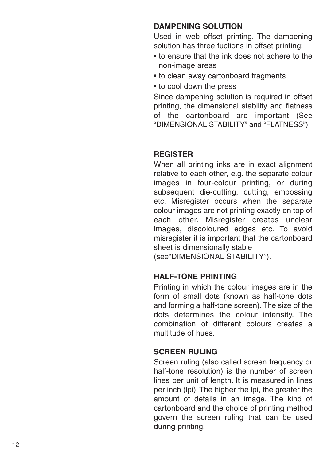#### **DAMPENING SOLUTION**

Used in web offset printing. The dampening solution has three fuctions in offset printing:

- to ensure that the ink does not adhere to the non-image areas
- to clean away cartonboard fragments
- to cool down the press

Since dampening solution is required in offset printing, the dimensional stability and flatness of the cartonboard are important (See "DIMENSIONAL STABILITY" and "FLATNESS").

#### **REGISTER**

When all printing inks are in exact alignment relative to each other, e.g. the separate colour images in four-colour printing, or during subsequent die-cutting, cutting, embossing etc. Misregister occurs when the separate colour images are not printing exactly on top of each other. Misregister creates unclear images , discoloured edges etc. To a void misregister it is important that the cartonboard sheet is dimensionally stable

(see"DIMENSIONAL STABILITY").

#### **HALF-TONE PRINTING**

Printing in which the colour images are in the form of small dots (known as half-tone dots and forming a half-tone screen).The size of the dots determines the colour intensity. The combination of different colours creates a multitude of hues.

#### **SCREEN RULING**

Screen ruling (also called screen frequency or half-tone resolution) is the number of screen lines per unit of length. It is measured in lines per inch (lpi). The higher the lpi, the greater the amount of details in an image . The kind of cartonboard and the choice of printing method govern the screen ruling that can be used during printing.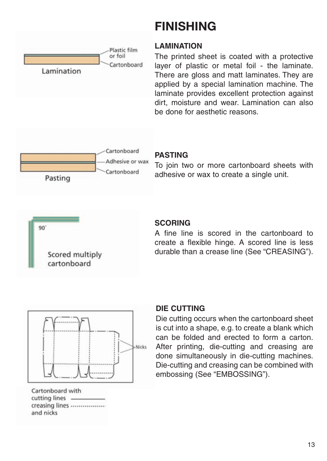

#### **FINISHING**

#### **LAMINATION**

The printed sheet is coated with a protective layer of plastic or metal foil - the laminate. There are gloss and matt laminates. They are applied by a special lamination machine. The laminate provides excellent protection against dirt, moisture and wear. Lamination can also be done for aesthetic reasons.



#### **PASTING**

To join two or more cartonboard sheets with adhesive or wax to create a single unit.



#### **SCORING**

A fine line is scored in the cartonboard to create a flexible hinge. A scored line is less durable than a crease line (See "CREASING").



Cartonboard with cutting lines creasing lines ................. and nicks

#### **DIE CUTTING**

Die cutting occurs when the cartonboard sheet is cut into a shape, e.g. to create a blank which can be folded and erected to form a carton. After printing, die-cutting and creasing are done simultaneously in die-cutting machines. Die-cutting and creasing can be combined with embossing (See "EMBOSSING").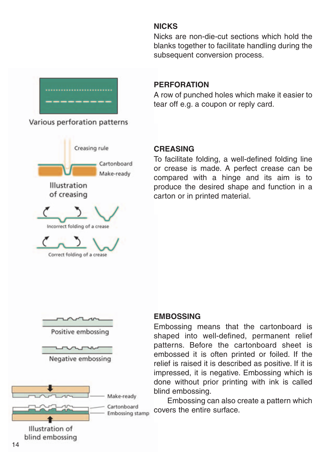#### **NICKS**

Nicks are non-die-cut sections which hold the blanks together to facilitate handling during the subsequent conversion process.



Various perforation patterns



#### **PERFORATION**

A row of punched holes which make it easier to tear off e.g. a coupon or reply card.

#### **CREASING**

To facilitate folding, a well-defined folding line or crease is made. A perfect crease can be compared with a hinge and its aim is to produce the desired shape and function in a carton or in printed material.



#### **EMBOSSING**

Embossing means that the cartonboard is shaped into well-defined, permanent relief patterns. Before the cartonboard sheet is embossed it is often printed or foiled. If the relief is raised it is described as positive. If it is impressed, it is negative. Embossing which is done without prior printing with ink is called blind embossing.

Embossing can also create a pattern which covers the entire surface.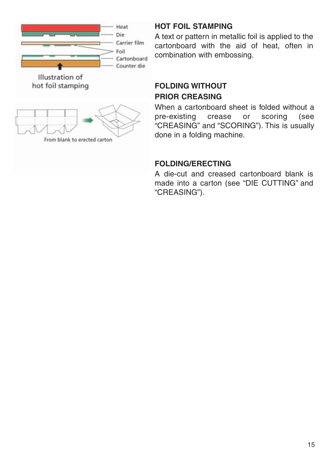

#### **HOT FOIL STAMPING**

A text or pattern in metallic foil is applied to the cartonboard with the aid of heat, often in combination with embossing.

#### **FOLDING WITHOUT PRIOR CREASING**

When a cartonboard sheet is folded without a pre-existing crease or scoring (see "CREASING" and "SCORING"). This is usually done in a folding machine.

#### **FOLDING/ERECTING**

A die-cut and creased cartonboard blank is made into a carton (see "DIE CUTTING" and "CREASING").